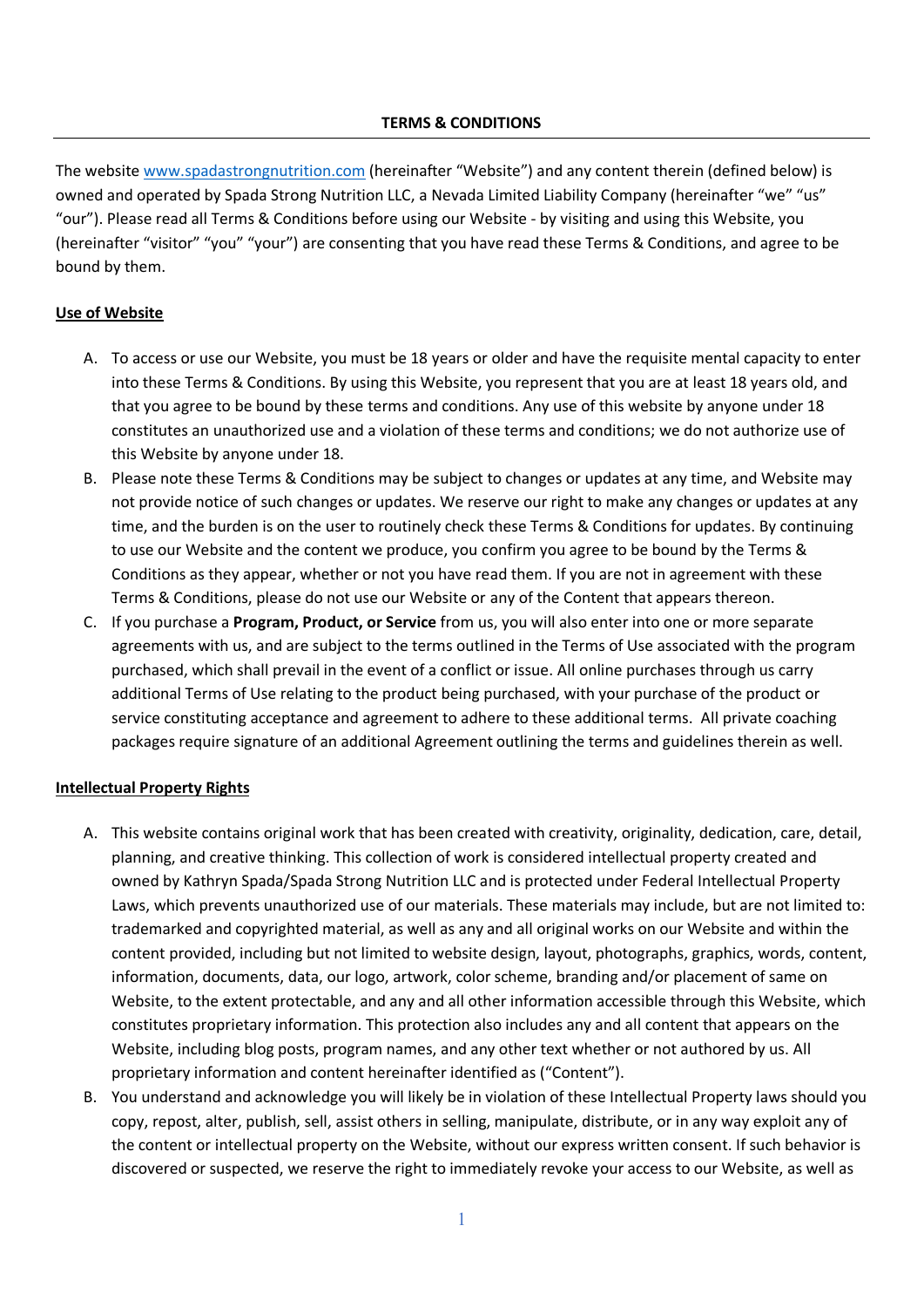### **TERMS & CONDITIONS**

The website www.spadastrongnutrition.com (hereinafter "Website") and any content therein (defined below) is owned and operated by Spada Strong Nutrition LLC, a Nevada Limited Liability Company (hereinafter "we" "us" "our"). Please read all Terms & Conditions before using our Website - by visiting and using this Website, you (hereinafter "visitor" "you" "your") are consenting that you have read these Terms & Conditions, and agree to be bound by them.

# **Use of Website**

- A. To access or use our Website, you must be 18 years or older and have the requisite mental capacity to enter into these Terms & Conditions. By using this Website, you represent that you are at least 18 years old, and that you agree to be bound by these terms and conditions. Any use of this website by anyone under 18 constitutes an unauthorized use and a violation of these terms and conditions; we do not authorize use of this Website by anyone under 18.
- B. Please note these Terms & Conditions may be subject to changes or updates at any time, and Website may not provide notice of such changes or updates. We reserve our right to make any changes or updates at any time, and the burden is on the user to routinely check these Terms & Conditions for updates. By continuing to use our Website and the content we produce, you confirm you agree to be bound by the Terms & Conditions as they appear, whether or not you have read them. If you are not in agreement with these Terms & Conditions, please do not use our Website or any of the Content that appears thereon.
- C. If you purchase a **Program, Product, or Service** from us, you will also enter into one or more separate agreements with us, and are subject to the terms outlined in the Terms of Use associated with the program purchased, which shall prevail in the event of a conflict or issue. All online purchases through us carry additional Terms of Use relating to the product being purchased, with your purchase of the product or service constituting acceptance and agreement to adhere to these additional terms. All private coaching packages require signature of an additional Agreement outlining the terms and guidelines therein as well.

## **Intellectual Property Rights**

- A. This website contains original work that has been created with creativity, originality, dedication, care, detail, planning, and creative thinking. This collection of work is considered intellectual property created and owned by Kathryn Spada/Spada Strong Nutrition LLC and is protected under Federal Intellectual Property Laws, which prevents unauthorized use of our materials. These materials may include, but are not limited to: trademarked and copyrighted material, as well as any and all original works on our Website and within the content provided, including but not limited to website design, layout, photographs, graphics, words, content, information, documents, data, our logo, artwork, color scheme, branding and/or placement of same on Website, to the extent protectable, and any and all other information accessible through this Website, which constitutes proprietary information. This protection also includes any and all content that appears on the Website, including blog posts, program names, and any other text whether or not authored by us. All proprietary information and content hereinafter identified as ("Content").
- B. You understand and acknowledge you will likely be in violation of these Intellectual Property laws should you copy, repost, alter, publish, sell, assist others in selling, manipulate, distribute, or in any way exploit any of the content or intellectual property on the Website, without our express written consent. If such behavior is discovered or suspected, we reserve the right to immediately revoke your access to our Website, as well as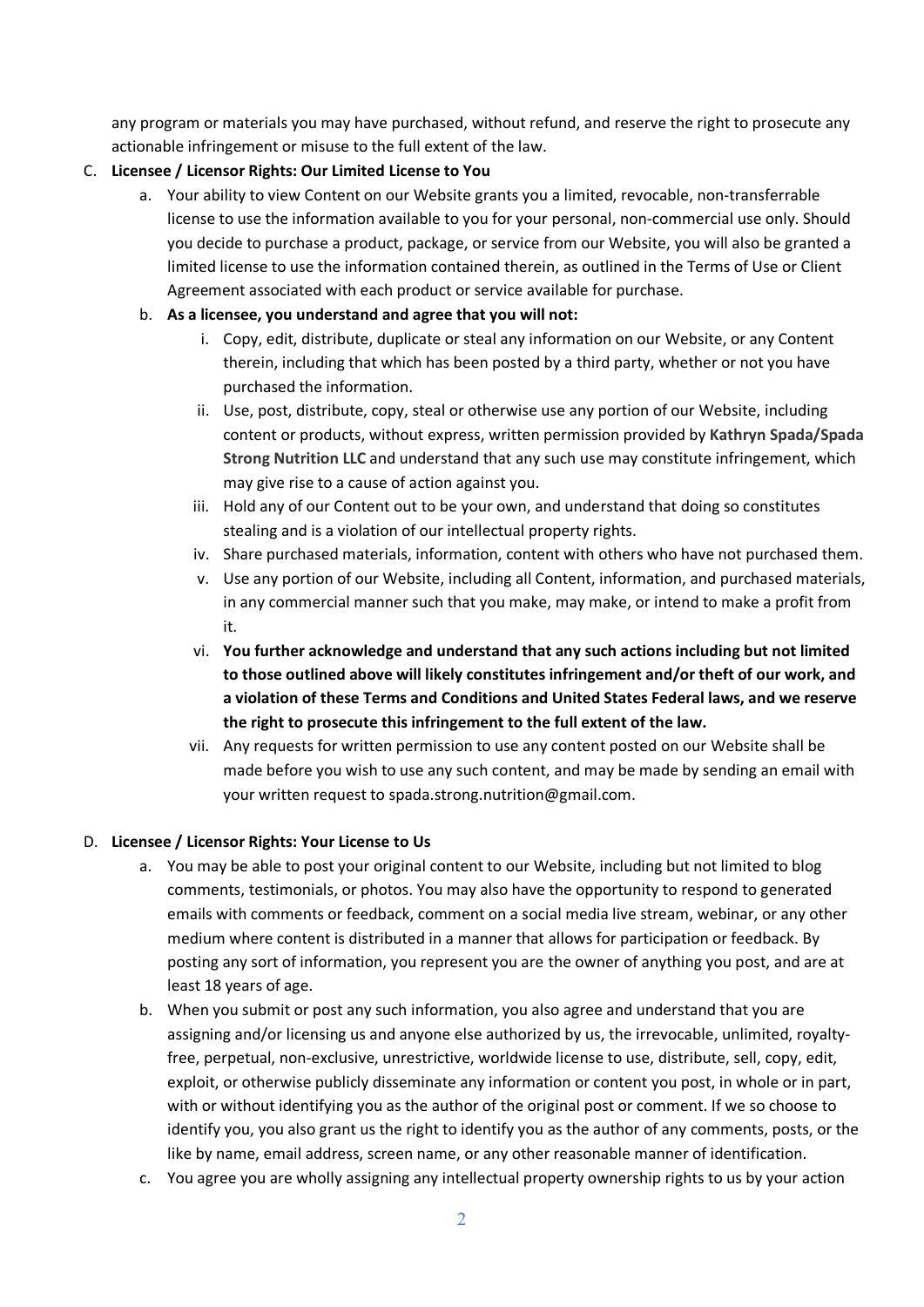any program or materials you may have purchased, without refund, and reserve the right to prosecute any actionable infringement or misuse to the full extent of the law.

# C. **Licensee / Licensor Rights: Our Limited License to You**

a. Your ability to view Content on our Website grants you a limited, revocable, non-transferrable license to use the information available to you for your personal, non-commercial use only. Should you decide to purchase a product, package, or service from our Website, you will also be granted a limited license to use the information contained therein, as outlined in the Terms of Use or Client Agreement associated with each product or service available for purchase.

# b. **As a licensee, you understand and agree that you will not:**

- i. Copy, edit, distribute, duplicate or steal any information on our Website, or any Content therein, including that which has been posted by a third party, whether or not you have purchased the information.
- ii. Use, post, distribute, copy, steal or otherwise use any portion of our Website, including content or products, without express, written permission provided by **Kathryn Spada/Spada Strong Nutrition LLC** and understand that any such use may constitute infringement, which may give rise to a cause of action against you.
- iii. Hold any of our Content out to be your own, and understand that doing so constitutes stealing and is a violation of our intellectual property rights.
- iv. Share purchased materials, information, content with others who have not purchased them.
- v. Use any portion of our Website, including all Content, information, and purchased materials, in any commercial manner such that you make, may make, or intend to make a profit from it.
- vi. **You further acknowledge and understand that any such actions including but not limited to those outlined above will likely constitutes infringement and/or theft of our work, and a violation of these Terms and Conditions and United States Federal laws, and we reserve the right to prosecute this infringement to the full extent of the law.**
- vii. Any requests for written permission to use any content posted on our Website shall be made before you wish to use any such content, and may be made by sending an email with your written request to spada.strong.nutrition@gmail.com.

## D. **Licensee / Licensor Rights: Your License to Us**

- a. You may be able to post your original content to our Website, including but not limited to blog comments, testimonials, or photos. You may also have the opportunity to respond to generated emails with comments or feedback, comment on a social media live stream, webinar, or any other medium where content is distributed in a manner that allows for participation or feedback. By posting any sort of information, you represent you are the owner of anything you post, and are at least 18 years of age.
- b. When you submit or post any such information, you also agree and understand that you are assigning and/or licensing us and anyone else authorized by us, the irrevocable, unlimited, royaltyfree, perpetual, non-exclusive, unrestrictive, worldwide license to use, distribute, sell, copy, edit, exploit, or otherwise publicly disseminate any information or content you post, in whole or in part, with or without identifying you as the author of the original post or comment. If we so choose to identify you, you also grant us the right to identify you as the author of any comments, posts, or the like by name, email address, screen name, or any other reasonable manner of identification.
- c. You agree you are wholly assigning any intellectual property ownership rights to us by your action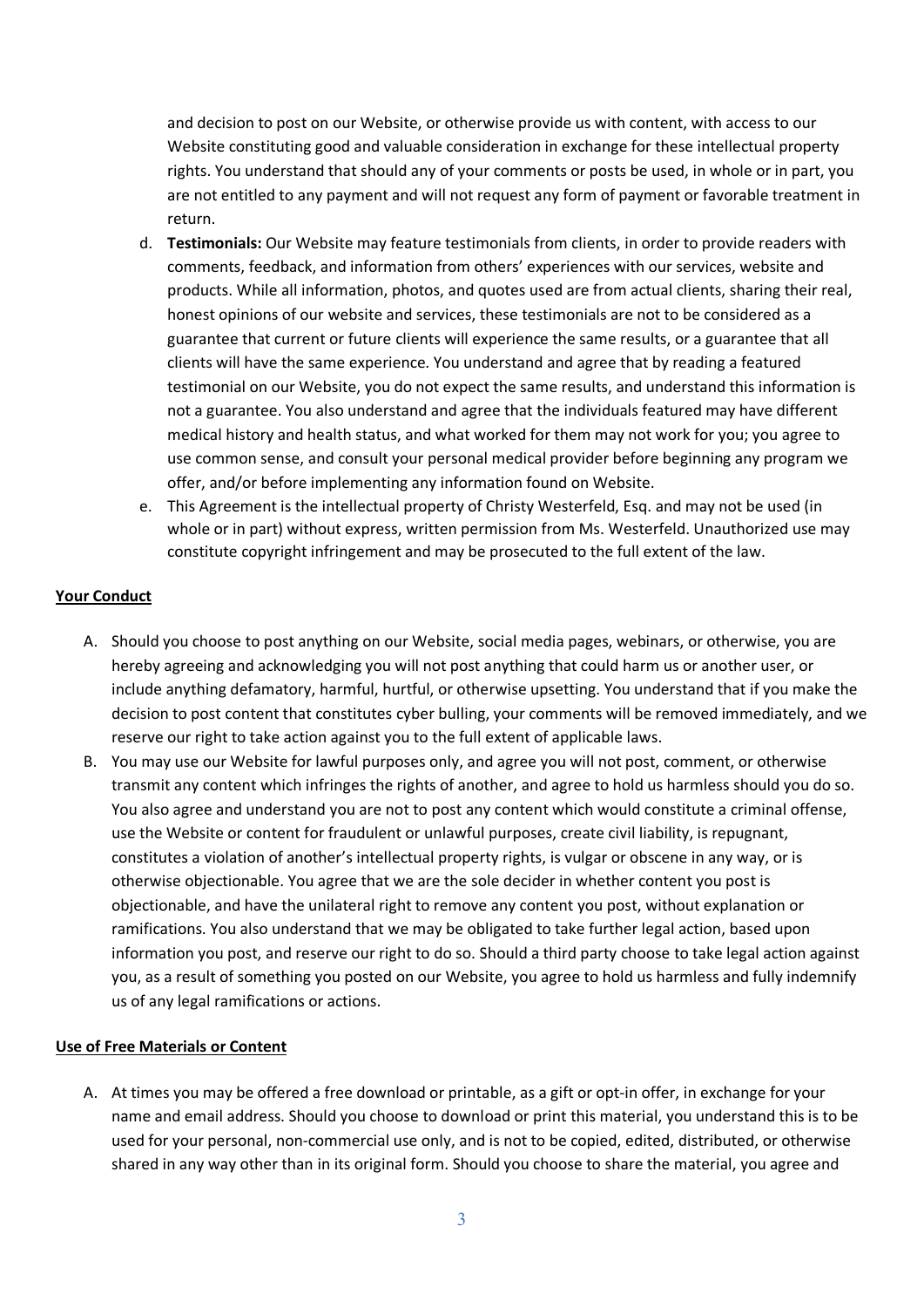and decision to post on our Website, or otherwise provide us with content, with access to our Website constituting good and valuable consideration in exchange for these intellectual property rights. You understand that should any of your comments or posts be used, in whole or in part, you are not entitled to any payment and will not request any form of payment or favorable treatment in return.

- d. **Testimonials:** Our Website may feature testimonials from clients, in order to provide readers with comments, feedback, and information from others' experiences with our services, website and products. While all information, photos, and quotes used are from actual clients, sharing their real, honest opinions of our website and services, these testimonials are not to be considered as a guarantee that current or future clients will experience the same results, or a guarantee that all clients will have the same experience. You understand and agree that by reading a featured testimonial on our Website, you do not expect the same results, and understand this information is not a guarantee. You also understand and agree that the individuals featured may have different medical history and health status, and what worked for them may not work for you; you agree to use common sense, and consult your personal medical provider before beginning any program we offer, and/or before implementing any information found on Website.
- e. This Agreement is the intellectual property of Christy Westerfeld, Esq. and may not be used (in whole or in part) without express, written permission from Ms. Westerfeld. Unauthorized use may constitute copyright infringement and may be prosecuted to the full extent of the law.

### **Your Conduct**

- A. Should you choose to post anything on our Website, social media pages, webinars, or otherwise, you are hereby agreeing and acknowledging you will not post anything that could harm us or another user, or include anything defamatory, harmful, hurtful, or otherwise upsetting. You understand that if you make the decision to post content that constitutes cyber bulling, your comments will be removed immediately, and we reserve our right to take action against you to the full extent of applicable laws.
- B. You may use our Website for lawful purposes only, and agree you will not post, comment, or otherwise transmit any content which infringes the rights of another, and agree to hold us harmless should you do so. You also agree and understand you are not to post any content which would constitute a criminal offense, use the Website or content for fraudulent or unlawful purposes, create civil liability, is repugnant, constitutes a violation of another's intellectual property rights, is vulgar or obscene in any way, or is otherwise objectionable. You agree that we are the sole decider in whether content you post is objectionable, and have the unilateral right to remove any content you post, without explanation or ramifications. You also understand that we may be obligated to take further legal action, based upon information you post, and reserve our right to do so. Should a third party choose to take legal action against you, as a result of something you posted on our Website, you agree to hold us harmless and fully indemnify us of any legal ramifications or actions.

### **Use of Free Materials or Content**

A. At times you may be offered a free download or printable, as a gift or opt-in offer, in exchange for your name and email address. Should you choose to download or print this material, you understand this is to be used for your personal, non-commercial use only, and is not to be copied, edited, distributed, or otherwise shared in any way other than in its original form. Should you choose to share the material, you agree and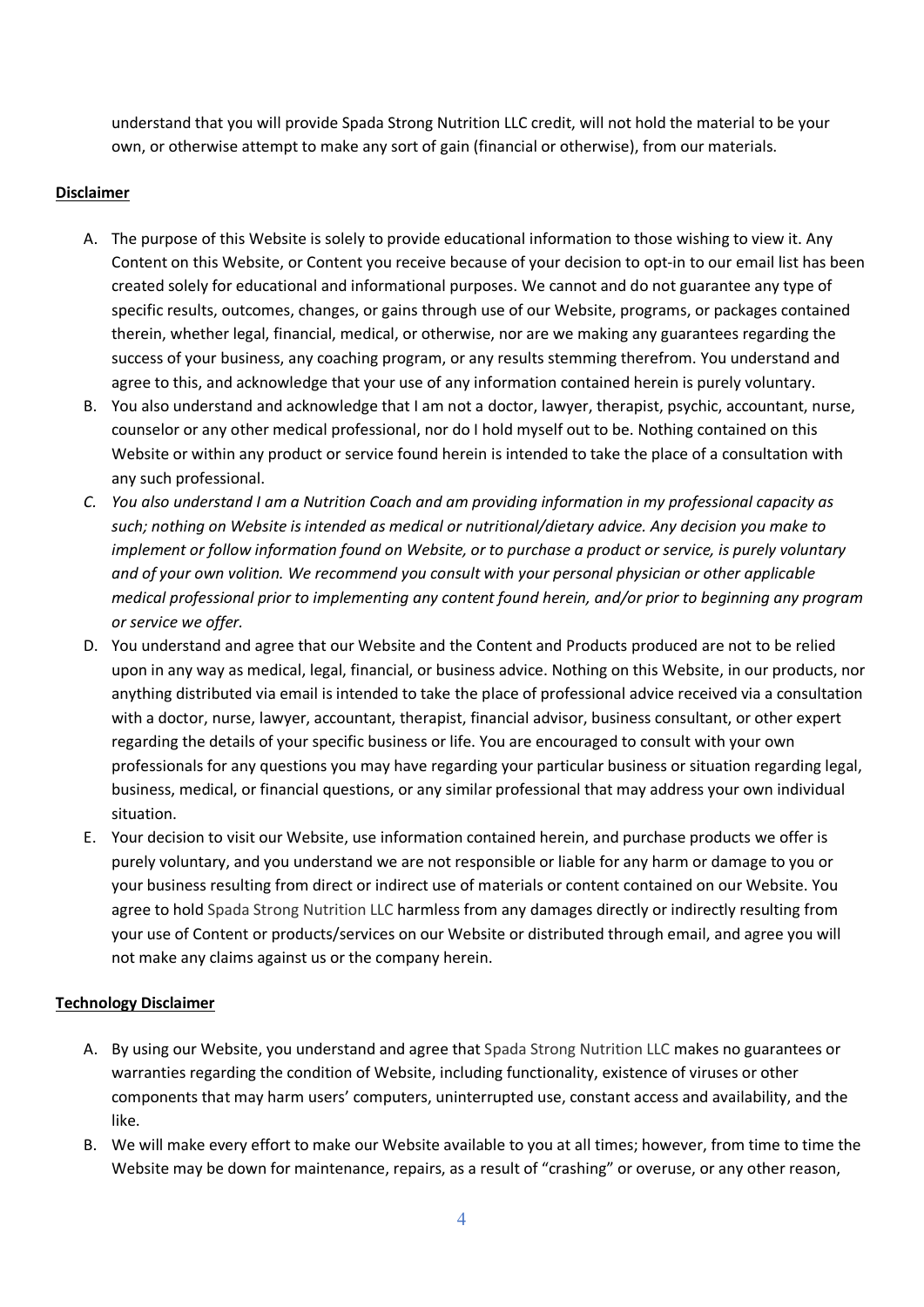understand that you will provide Spada Strong Nutrition LLC credit, will not hold the material to be your own, or otherwise attempt to make any sort of gain (financial or otherwise), from our materials.

### **Disclaimer**

- A. The purpose of this Website is solely to provide educational information to those wishing to view it. Any Content on this Website, or Content you receive because of your decision to opt-in to our email list has been created solely for educational and informational purposes. We cannot and do not guarantee any type of specific results, outcomes, changes, or gains through use of our Website, programs, or packages contained therein, whether legal, financial, medical, or otherwise, nor are we making any guarantees regarding the success of your business, any coaching program, or any results stemming therefrom. You understand and agree to this, and acknowledge that your use of any information contained herein is purely voluntary.
- B. You also understand and acknowledge that I am not a doctor, lawyer, therapist, psychic, accountant, nurse, counselor or any other medical professional, nor do I hold myself out to be. Nothing contained on this Website or within any product or service found herein is intended to take the place of a consultation with any such professional.
- *C. You also understand I am a Nutrition Coach and am providing information in my professional capacity as such; nothing on Website is intended as medical or nutritional/dietary advice. Any decision you make to implement or follow information found on Website, or to purchase a product or service, is purely voluntary and of your own volition. We recommend you consult with your personal physician or other applicable medical professional prior to implementing any content found herein, and/or prior to beginning any program or service we offer.*
- D. You understand and agree that our Website and the Content and Products produced are not to be relied upon in any way as medical, legal, financial, or business advice. Nothing on this Website, in our products, nor anything distributed via email is intended to take the place of professional advice received via a consultation with a doctor, nurse, lawyer, accountant, therapist, financial advisor, business consultant, or other expert regarding the details of your specific business or life. You are encouraged to consult with your own professionals for any questions you may have regarding your particular business or situation regarding legal, business, medical, or financial questions, or any similar professional that may address your own individual situation.
- E. Your decision to visit our Website, use information contained herein, and purchase products we offer is purely voluntary, and you understand we are not responsible or liable for any harm or damage to you or your business resulting from direct or indirect use of materials or content contained on our Website. You agree to hold Spada Strong Nutrition LLC harmless from any damages directly or indirectly resulting from your use of Content or products/services on our Website or distributed through email, and agree you will not make any claims against us or the company herein.

## **Technology Disclaimer**

- A. By using our Website, you understand and agree that Spada Strong Nutrition LLC makes no guarantees or warranties regarding the condition of Website, including functionality, existence of viruses or other components that may harm users' computers, uninterrupted use, constant access and availability, and the like.
- B. We will make every effort to make our Website available to you at all times; however, from time to time the Website may be down for maintenance, repairs, as a result of "crashing" or overuse, or any other reason,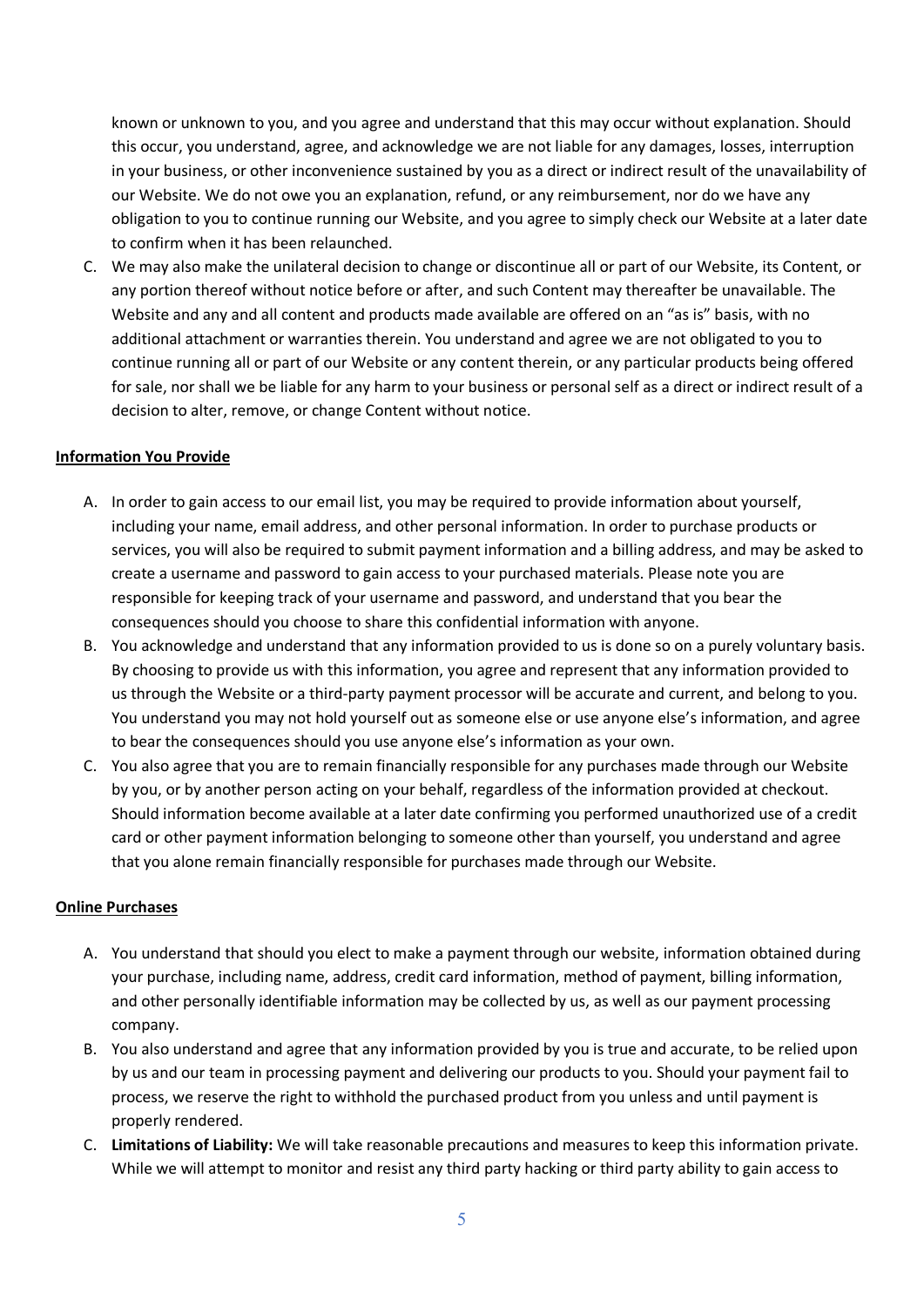known or unknown to you, and you agree and understand that this may occur without explanation. Should this occur, you understand, agree, and acknowledge we are not liable for any damages, losses, interruption in your business, or other inconvenience sustained by you as a direct or indirect result of the unavailability of our Website. We do not owe you an explanation, refund, or any reimbursement, nor do we have any obligation to you to continue running our Website, and you agree to simply check our Website at a later date to confirm when it has been relaunched.

C. We may also make the unilateral decision to change or discontinue all or part of our Website, its Content, or any portion thereof without notice before or after, and such Content may thereafter be unavailable. The Website and any and all content and products made available are offered on an "as is" basis, with no additional attachment or warranties therein. You understand and agree we are not obligated to you to continue running all or part of our Website or any content therein, or any particular products being offered for sale, nor shall we be liable for any harm to your business or personal self as a direct or indirect result of a decision to alter, remove, or change Content without notice.

### **Information You Provide**

- A. In order to gain access to our email list, you may be required to provide information about yourself, including your name, email address, and other personal information. In order to purchase products or services, you will also be required to submit payment information and a billing address, and may be asked to create a username and password to gain access to your purchased materials. Please note you are responsible for keeping track of your username and password, and understand that you bear the consequences should you choose to share this confidential information with anyone.
- B. You acknowledge and understand that any information provided to us is done so on a purely voluntary basis. By choosing to provide us with this information, you agree and represent that any information provided to us through the Website or a third-party payment processor will be accurate and current, and belong to you. You understand you may not hold yourself out as someone else or use anyone else's information, and agree to bear the consequences should you use anyone else's information as your own.
- C. You also agree that you are to remain financially responsible for any purchases made through our Website by you, or by another person acting on your behalf, regardless of the information provided at checkout. Should information become available at a later date confirming you performed unauthorized use of a credit card or other payment information belonging to someone other than yourself, you understand and agree that you alone remain financially responsible for purchases made through our Website.

### **Online Purchases**

- A. You understand that should you elect to make a payment through our website, information obtained during your purchase, including name, address, credit card information, method of payment, billing information, and other personally identifiable information may be collected by us, as well as our payment processing company.
- B. You also understand and agree that any information provided by you is true and accurate, to be relied upon by us and our team in processing payment and delivering our products to you. Should your payment fail to process, we reserve the right to withhold the purchased product from you unless and until payment is properly rendered.
- C. **Limitations of Liability:** We will take reasonable precautions and measures to keep this information private. While we will attempt to monitor and resist any third party hacking or third party ability to gain access to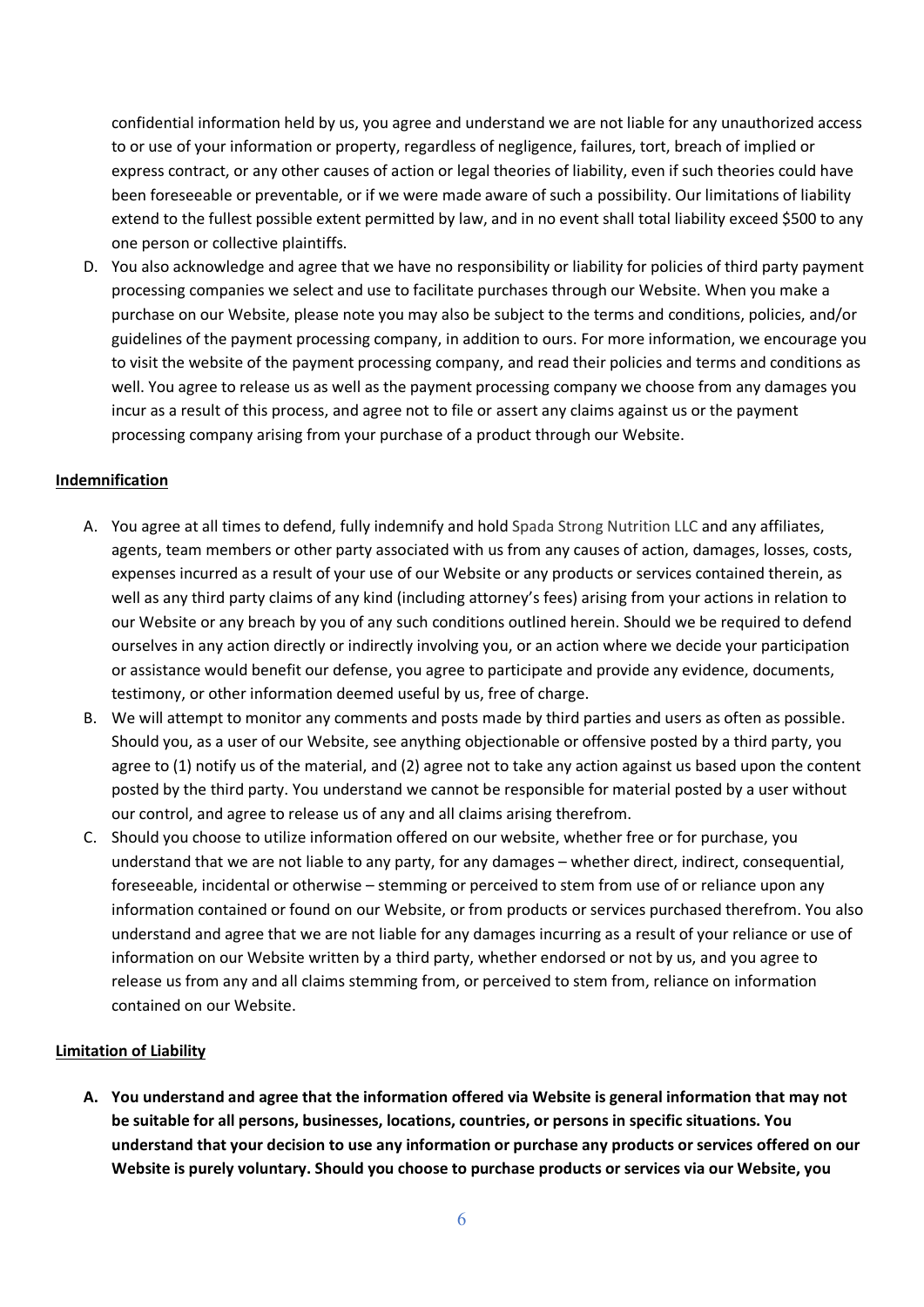confidential information held by us, you agree and understand we are not liable for any unauthorized access to or use of your information or property, regardless of negligence, failures, tort, breach of implied or express contract, or any other causes of action or legal theories of liability, even if such theories could have been foreseeable or preventable, or if we were made aware of such a possibility. Our limitations of liability extend to the fullest possible extent permitted by law, and in no event shall total liability exceed \$500 to any one person or collective plaintiffs.

D. You also acknowledge and agree that we have no responsibility or liability for policies of third party payment processing companies we select and use to facilitate purchases through our Website. When you make a purchase on our Website, please note you may also be subject to the terms and conditions, policies, and/or guidelines of the payment processing company, in addition to ours. For more information, we encourage you to visit the website of the payment processing company, and read their policies and terms and conditions as well. You agree to release us as well as the payment processing company we choose from any damages you incur as a result of this process, and agree not to file or assert any claims against us or the payment processing company arising from your purchase of a product through our Website.

### **Indemnification**

- A. You agree at all times to defend, fully indemnify and hold Spada Strong Nutrition LLC and any affiliates, agents, team members or other party associated with us from any causes of action, damages, losses, costs, expenses incurred as a result of your use of our Website or any products or services contained therein, as well as any third party claims of any kind (including attorney's fees) arising from your actions in relation to our Website or any breach by you of any such conditions outlined herein. Should we be required to defend ourselves in any action directly or indirectly involving you, or an action where we decide your participation or assistance would benefit our defense, you agree to participate and provide any evidence, documents, testimony, or other information deemed useful by us, free of charge.
- B. We will attempt to monitor any comments and posts made by third parties and users as often as possible. Should you, as a user of our Website, see anything objectionable or offensive posted by a third party, you agree to (1) notify us of the material, and (2) agree not to take any action against us based upon the content posted by the third party. You understand we cannot be responsible for material posted by a user without our control, and agree to release us of any and all claims arising therefrom.
- C. Should you choose to utilize information offered on our website, whether free or for purchase, you understand that we are not liable to any party, for any damages – whether direct, indirect, consequential, foreseeable, incidental or otherwise – stemming or perceived to stem from use of or reliance upon any information contained or found on our Website, or from products or services purchased therefrom. You also understand and agree that we are not liable for any damages incurring as a result of your reliance or use of information on our Website written by a third party, whether endorsed or not by us, and you agree to release us from any and all claims stemming from, or perceived to stem from, reliance on information contained on our Website.

### **Limitation of Liability**

**A. You understand and agree that the information offered via Website is general information that may not be suitable for all persons, businesses, locations, countries, or persons in specific situations. You understand that your decision to use any information or purchase any products or services offered on our Website is purely voluntary. Should you choose to purchase products or services via our Website, you**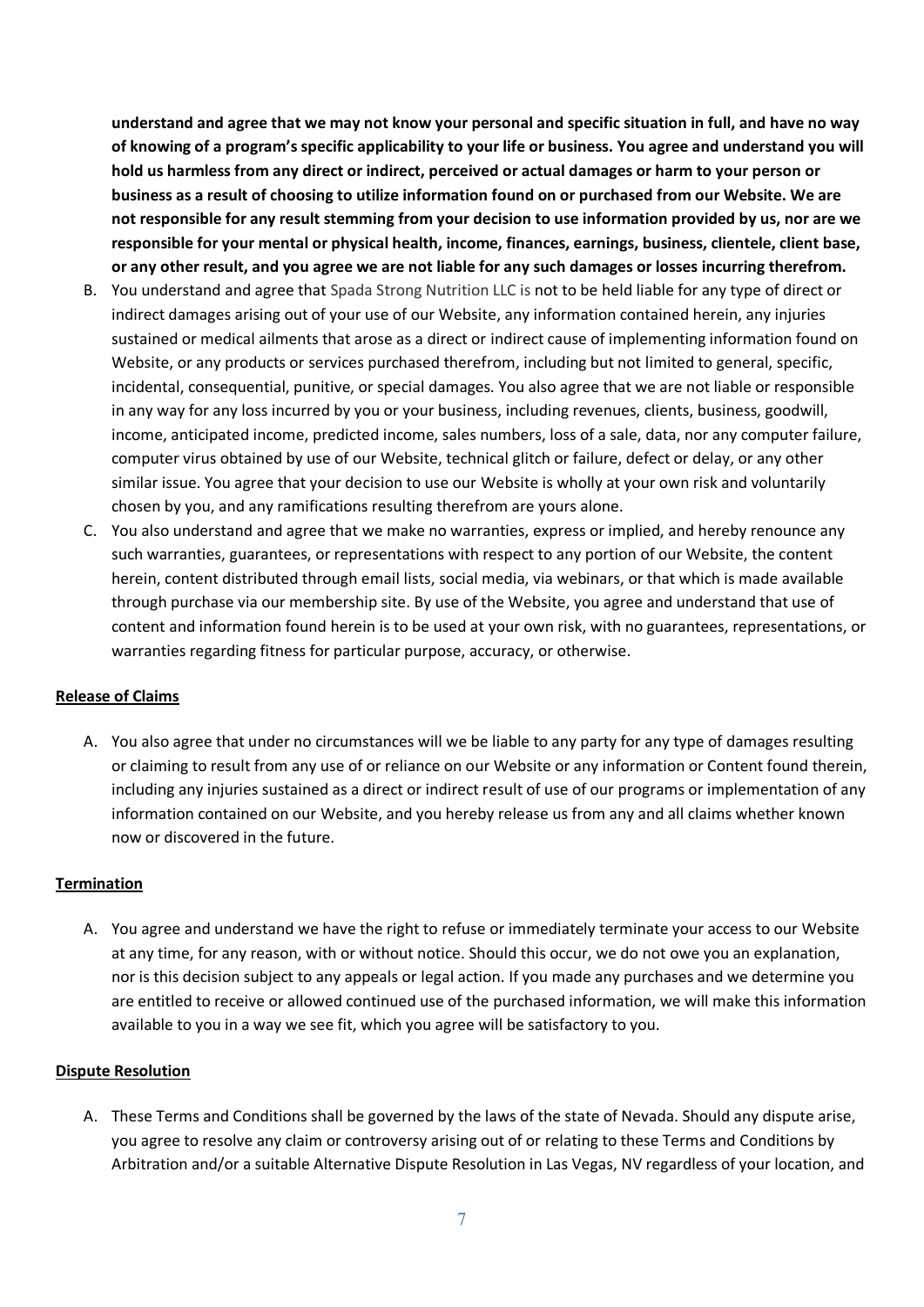**understand and agree that we may not know your personal and specific situation in full, and have no way of knowing of a program's specific applicability to your life or business. You agree and understand you will hold us harmless from any direct or indirect, perceived or actual damages or harm to your person or business as a result of choosing to utilize information found on or purchased from our Website. We are not responsible for any result stemming from your decision to use information provided by us, nor are we responsible for your mental or physical health, income, finances, earnings, business, clientele, client base, or any other result, and you agree we are not liable for any such damages or losses incurring therefrom.** 

- B. You understand and agree that Spada Strong Nutrition LLC is not to be held liable for any type of direct or indirect damages arising out of your use of our Website, any information contained herein, any injuries sustained or medical ailments that arose as a direct or indirect cause of implementing information found on Website, or any products or services purchased therefrom, including but not limited to general, specific, incidental, consequential, punitive, or special damages. You also agree that we are not liable or responsible in any way for any loss incurred by you or your business, including revenues, clients, business, goodwill, income, anticipated income, predicted income, sales numbers, loss of a sale, data, nor any computer failure, computer virus obtained by use of our Website, technical glitch or failure, defect or delay, or any other similar issue. You agree that your decision to use our Website is wholly at your own risk and voluntarily chosen by you, and any ramifications resulting therefrom are yours alone.
- C. You also understand and agree that we make no warranties, express or implied, and hereby renounce any such warranties, guarantees, or representations with respect to any portion of our Website, the content herein, content distributed through email lists, social media, via webinars, or that which is made available through purchase via our membership site. By use of the Website, you agree and understand that use of content and information found herein is to be used at your own risk, with no guarantees, representations, or warranties regarding fitness for particular purpose, accuracy, or otherwise.

### **Release of Claims**

A. You also agree that under no circumstances will we be liable to any party for any type of damages resulting or claiming to result from any use of or reliance on our Website or any information or Content found therein, including any injuries sustained as a direct or indirect result of use of our programs or implementation of any information contained on our Website, and you hereby release us from any and all claims whether known now or discovered in the future.

### **Termination**

A. You agree and understand we have the right to refuse or immediately terminate your access to our Website at any time, for any reason, with or without notice. Should this occur, we do not owe you an explanation, nor is this decision subject to any appeals or legal action. If you made any purchases and we determine you are entitled to receive or allowed continued use of the purchased information, we will make this information available to you in a way we see fit, which you agree will be satisfactory to you.

### **Dispute Resolution**

A. These Terms and Conditions shall be governed by the laws of the state of Nevada. Should any dispute arise, you agree to resolve any claim or controversy arising out of or relating to these Terms and Conditions by Arbitration and/or a suitable Alternative Dispute Resolution in Las Vegas, NV regardless of your location, and